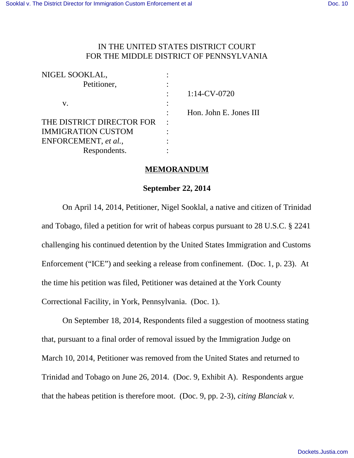## IN THE UNITED STATES DISTRICT COURT FOR THE MIDDLE DISTRICT OF PENNSYLVANIA

| NIGEL SOOKLAL,            |                        |
|---------------------------|------------------------|
| Petitioner,               |                        |
|                           | $1:14$ -CV-0720        |
| v.                        |                        |
|                           | Hon. John E. Jones III |
| THE DISTRICT DIRECTOR FOR |                        |
| <b>IMMIGRATION CUSTOM</b> |                        |
| ENFORCEMENT, et al.,      |                        |
| Respondents.              |                        |

## **MEMORANDUM**

## **September 22, 2014**

On April 14, 2014, Petitioner, Nigel Sooklal, a native and citizen of Trinidad and Tobago, filed a petition for writ of habeas corpus pursuant to 28 U.S.C. § 2241 challenging his continued detention by the United States Immigration and Customs Enforcement ("ICE") and seeking a release from confinement. (Doc. 1, p. 23). At the time his petition was filed, Petitioner was detained at the York County Correctional Facility, in York, Pennsylvania. (Doc. 1).

On September 18, 2014, Respondents filed a suggestion of mootness stating that, pursuant to a final order of removal issued by the Immigration Judge on March 10, 2014, Petitioner was removed from the United States and returned to Trinidad and Tobago on June 26, 2014. (Doc. 9, Exhibit A). Respondents argue that the habeas petition is therefore moot. (Doc. 9, pp. 2-3), *citing Blanciak v.*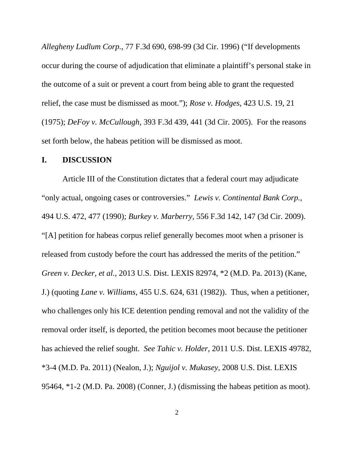*Allegheny Ludlum Corp.*, 77 F.3d 690, 698-99 (3d Cir. 1996) ("If developments occur during the course of adjudication that eliminate a plaintiff's personal stake in the outcome of a suit or prevent a court from being able to grant the requested relief, the case must be dismissed as moot."); *Rose v. Hodges*, 423 U.S. 19, 21 (1975); *DeFoy v. McCullough*, 393 F.3d 439, 441 (3d Cir. 2005). For the reasons set forth below, the habeas petition will be dismissed as moot.

## **I. DISCUSSION**

Article III of the Constitution dictates that a federal court may adjudicate "only actual, ongoing cases or controversies." *Lewis v. Continental Bank Corp.*, 494 U.S. 472, 477 (1990); *Burkey v. Marberry*, 556 F.3d 142, 147 (3d Cir. 2009). "[A] petition for habeas corpus relief generally becomes moot when a prisoner is released from custody before the court has addressed the merits of the petition." *Green v. Decker, et al.*, 2013 U.S. Dist. LEXIS 82974, \*2 (M.D. Pa. 2013) (Kane, J.) (quoting *Lane v. Williams*, 455 U.S. 624, 631 (1982)). Thus, when a petitioner, who challenges only his ICE detention pending removal and not the validity of the removal order itself, is deported, the petition becomes moot because the petitioner has achieved the relief sought. *See Tahic v. Holder*, 2011 U.S. Dist. LEXIS 49782, \*3-4 (M.D. Pa. 2011) (Nealon, J.); *Nguijol v. Mukasey*, 2008 U.S. Dist. LEXIS 95464, \*1-2 (M.D. Pa. 2008) (Conner, J.) (dismissing the habeas petition as moot).